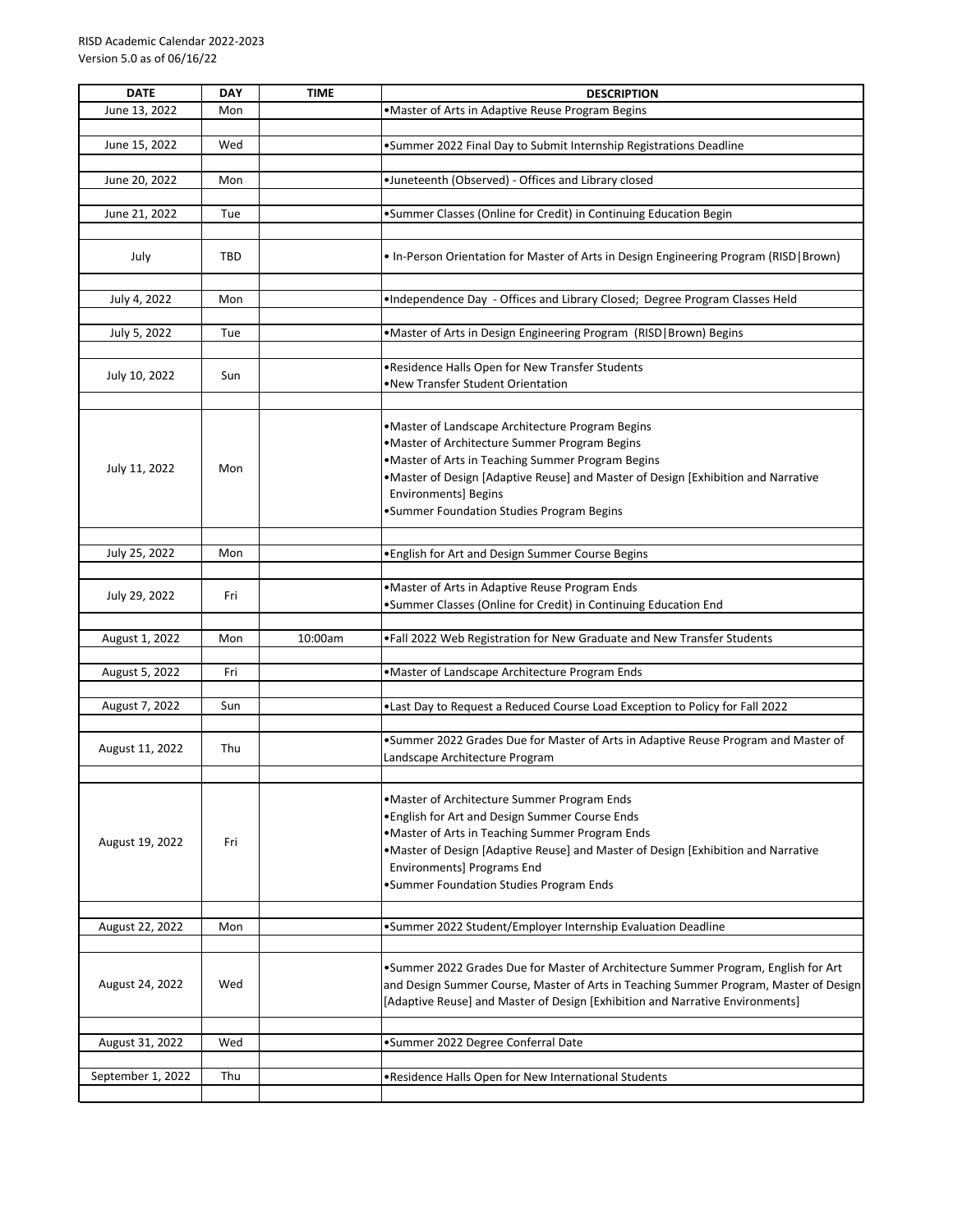| <b>DATE</b>       | <b>DAY</b> | <b>TIME</b> | <b>DESCRIPTION</b>                                                                      |
|-------------------|------------|-------------|-----------------------------------------------------------------------------------------|
| June 13, 2022     | Mon        |             | • Master of Arts in Adaptive Reuse Program Begins                                       |
|                   |            |             |                                                                                         |
| June 15, 2022     | Wed        |             | •Summer 2022 Final Day to Submit Internship Registrations Deadline                      |
|                   |            |             |                                                                                         |
| June 20, 2022     | Mon        |             | •Juneteenth (Observed) - Offices and Library closed                                     |
|                   |            |             |                                                                                         |
| June 21, 2022     | Tue        |             | •Summer Classes (Online for Credit) in Continuing Education Begin                       |
|                   |            |             |                                                                                         |
| July              | <b>TBD</b> |             | . In-Person Orientation for Master of Arts in Design Engineering Program (RISD   Brown) |
|                   |            |             |                                                                                         |
|                   |            |             |                                                                                         |
| July 4, 2022      | Mon        |             | .Independence Day - Offices and Library Closed; Degree Program Classes Held             |
|                   |            |             |                                                                                         |
| July 5, 2022      | Tue        |             | •Master of Arts in Design Engineering Program (RISD   Brown) Begins                     |
|                   |            |             | . Residence Halls Open for New Transfer Students                                        |
| July 10, 2022     | Sun        |             | •New Transfer Student Orientation                                                       |
|                   |            |             |                                                                                         |
|                   |            |             |                                                                                         |
|                   |            |             | .Master of Landscape Architecture Program Begins                                        |
|                   |            |             | • Master of Architecture Summer Program Begins                                          |
| July 11, 2022     | Mon        |             | • Master of Arts in Teaching Summer Program Begins                                      |
|                   |            |             | . Master of Design [Adaptive Reuse] and Master of Design [Exhibition and Narrative      |
|                   |            |             | <b>Environments] Begins</b>                                                             |
|                   |            |             | •Summer Foundation Studies Program Begins                                               |
|                   |            |             |                                                                                         |
| July 25, 2022     | Mon        |             | . English for Art and Design Summer Course Begins                                       |
|                   |            |             |                                                                                         |
| July 29, 2022     | Fri        |             | ·Master of Arts in Adaptive Reuse Program Ends                                          |
|                   |            |             | •Summer Classes (Online for Credit) in Continuing Education End                         |
|                   |            |             |                                                                                         |
| August 1, 2022    | Mon        | 10:00am     | .Fall 2022 Web Registration for New Graduate and New Transfer Students                  |
|                   |            |             |                                                                                         |
| August 5, 2022    | Fri        |             | .Master of Landscape Architecture Program Ends                                          |
| August 7, 2022    | Sun        |             | .Last Day to Request a Reduced Course Load Exception to Policy for Fall 2022            |
|                   |            |             |                                                                                         |
|                   |            |             | .Summer 2022 Grades Due for Master of Arts in Adaptive Reuse Program and Master of      |
| August 11, 2022   | Thu        |             | Landscape Architecture Program                                                          |
|                   |            |             |                                                                                         |
|                   |            |             |                                                                                         |
|                   |            |             | •Master of Architecture Summer Program Ends                                             |
|                   |            |             | . English for Art and Design Summer Course Ends                                         |
| August 19, 2022   | Fri        |             | .Master of Arts in Teaching Summer Program Ends                                         |
|                   |            |             | .Master of Design [Adaptive Reuse] and Master of Design [Exhibition and Narrative       |
|                   |            |             | Environments] Programs End                                                              |
|                   |            |             | •Summer Foundation Studies Program Ends                                                 |
|                   |            |             |                                                                                         |
| August 22, 2022   | Mon        |             | •Summer 2022 Student/Employer Internship Evaluation Deadline                            |
|                   |            |             |                                                                                         |
|                   |            |             | .Summer 2022 Grades Due for Master of Architecture Summer Program, English for Art      |
| August 24, 2022   | Wed        |             | and Design Summer Course, Master of Arts in Teaching Summer Program, Master of Design   |
|                   |            |             | [Adaptive Reuse] and Master of Design [Exhibition and Narrative Environments]           |
|                   |            |             |                                                                                         |
| August 31, 2022   | Wed        |             | •Summer 2022 Degree Conferral Date                                                      |
|                   |            |             |                                                                                         |
| September 1, 2022 | Thu        |             | . Residence Halls Open for New International Students                                   |
|                   |            |             |                                                                                         |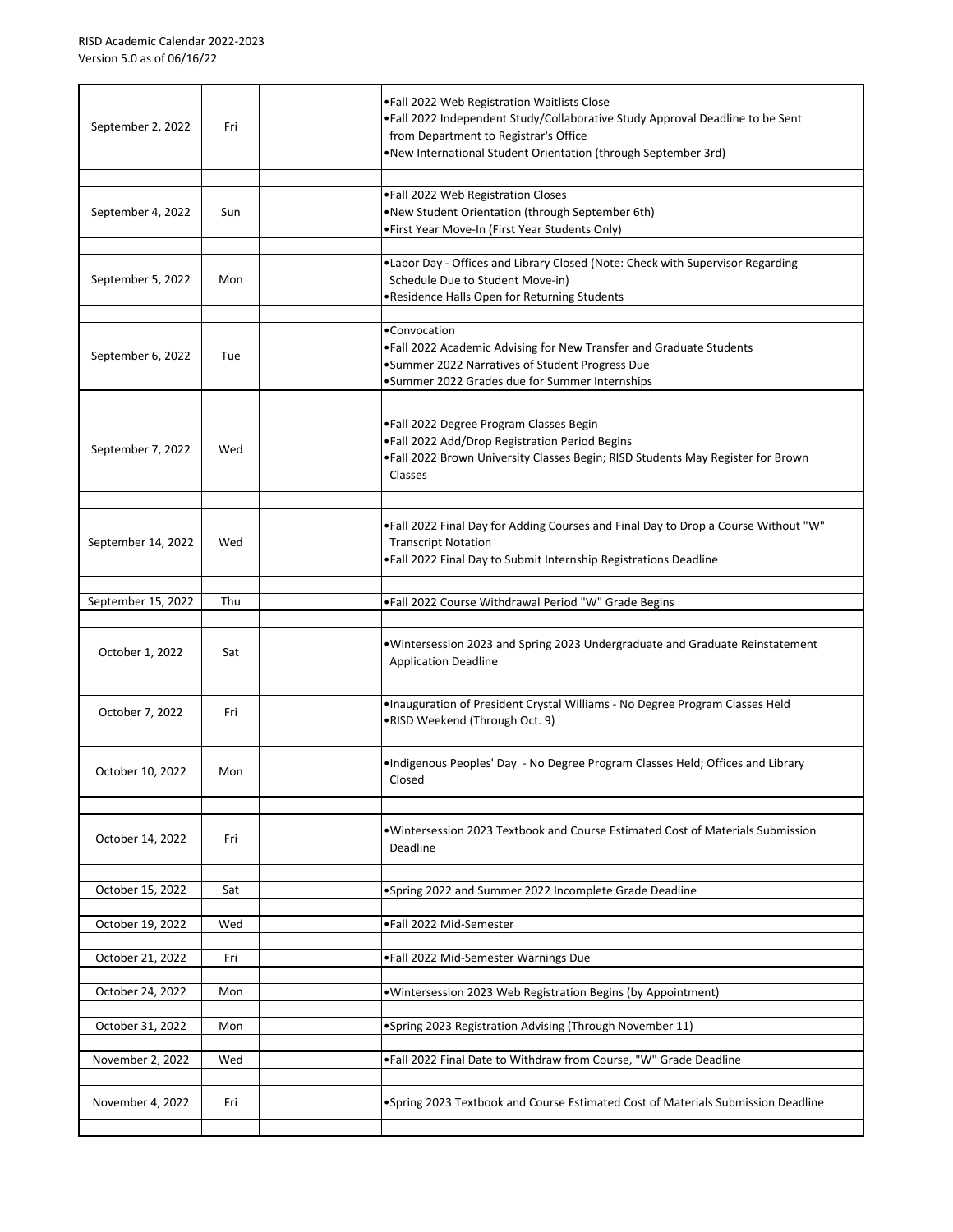| September 2, 2022  | Fri | .Fall 2022 Web Registration Waitlists Close<br>.Fall 2022 Independent Study/Collaborative Study Approval Deadline to be Sent<br>from Department to Registrar's Office<br>.New International Student Orientation (through September 3rd) |
|--------------------|-----|-----------------------------------------------------------------------------------------------------------------------------------------------------------------------------------------------------------------------------------------|
| September 4, 2022  | Sun | .Fall 2022 Web Registration Closes<br>.New Student Orientation (through September 6th)<br>• First Year Move-In (First Year Students Only)                                                                                               |
| September 5, 2022  | Mon | . Labor Day - Offices and Library Closed (Note: Check with Supervisor Regarding<br>Schedule Due to Student Move-in)<br>.Residence Halls Open for Returning Students                                                                     |
| September 6, 2022  | Tue | •Convocation<br>. Fall 2022 Academic Advising for New Transfer and Graduate Students<br>•Summer 2022 Narratives of Student Progress Due<br>•Summer 2022 Grades due for Summer Internships                                               |
| September 7, 2022  | Wed | .Fall 2022 Degree Program Classes Begin<br>.Fall 2022 Add/Drop Registration Period Begins<br>. Fall 2022 Brown University Classes Begin; RISD Students May Register for Brown<br>Classes                                                |
| September 14, 2022 | Wed | . Fall 2022 Final Day for Adding Courses and Final Day to Drop a Course Without "W"<br><b>Transcript Notation</b><br>. Fall 2022 Final Day to Submit Internship Registrations Deadline                                                  |
| September 15, 2022 | Thu | . Fall 2022 Course Withdrawal Period "W" Grade Begins                                                                                                                                                                                   |
| October 1, 2022    | Sat | • Wintersession 2023 and Spring 2023 Undergraduate and Graduate Reinstatement<br><b>Application Deadline</b>                                                                                                                            |
| October 7, 2022    | Fri | . Inauguration of President Crystal Williams - No Degree Program Classes Held<br>.RISD Weekend (Through Oct. 9)                                                                                                                         |
| October 10, 2022   | Mon | . Indigenous Peoples' Day - No Degree Program Classes Held; Offices and Library<br>Closed                                                                                                                                               |
| October 14, 2022   | Fri | • Wintersession 2023 Textbook and Course Estimated Cost of Materials Submission<br>Deadline                                                                                                                                             |
| October 15, 2022   | Sat | •Spring 2022 and Summer 2022 Incomplete Grade Deadline                                                                                                                                                                                  |
| October 19, 2022   | Wed | .Fall 2022 Mid-Semester                                                                                                                                                                                                                 |
| October 21, 2022   | Fri | .Fall 2022 Mid-Semester Warnings Due                                                                                                                                                                                                    |
| October 24, 2022   | Mon | . Wintersession 2023 Web Registration Begins (by Appointment)                                                                                                                                                                           |
| October 31, 2022   | Mon | •Spring 2023 Registration Advising (Through November 11)                                                                                                                                                                                |
| November 2, 2022   | Wed | .Fall 2022 Final Date to Withdraw from Course, "W" Grade Deadline                                                                                                                                                                       |
| November 4, 2022   | Fri | .Spring 2023 Textbook and Course Estimated Cost of Materials Submission Deadline                                                                                                                                                        |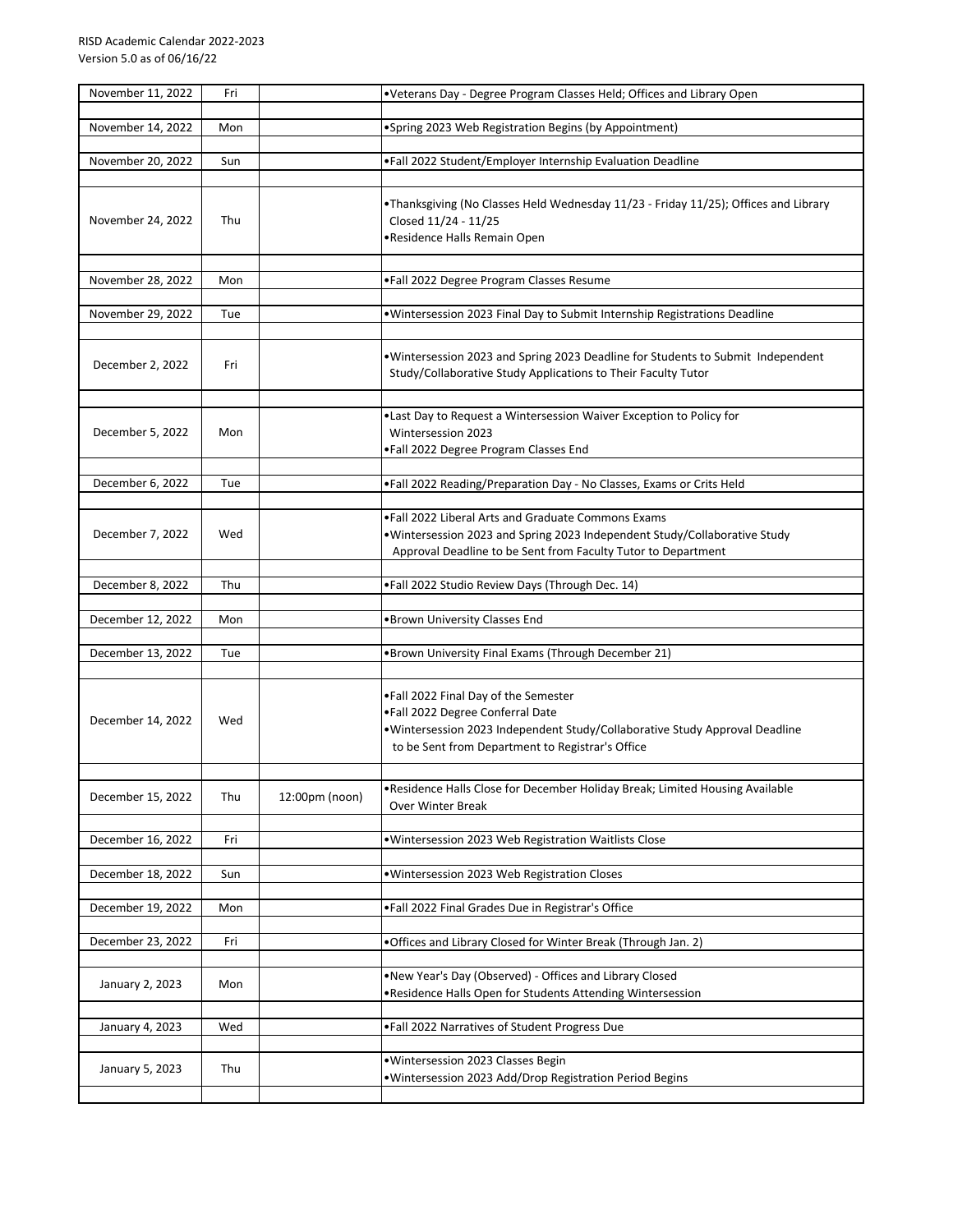| November 11, 2022 | Fri |                | . Veterans Day - Degree Program Classes Held; Offices and Library Open                                                                                                                                       |
|-------------------|-----|----------------|--------------------------------------------------------------------------------------------------------------------------------------------------------------------------------------------------------------|
| November 14, 2022 | Mon |                | •Spring 2023 Web Registration Begins (by Appointment)                                                                                                                                                        |
|                   |     |                |                                                                                                                                                                                                              |
| November 20, 2022 | Sun |                | .Fall 2022 Student/Employer Internship Evaluation Deadline                                                                                                                                                   |
|                   |     |                |                                                                                                                                                                                                              |
| November 24, 2022 | Thu |                | •Thanksgiving (No Classes Held Wednesday 11/23 - Friday 11/25); Offices and Library<br>Closed 11/24 - 11/25<br>•Residence Halls Remain Open                                                                  |
| November 28, 2022 | Mon |                | .Fall 2022 Degree Program Classes Resume                                                                                                                                                                     |
|                   |     |                |                                                                                                                                                                                                              |
| November 29, 2022 | Tue |                | . Wintersession 2023 Final Day to Submit Internship Registrations Deadline                                                                                                                                   |
| December 2, 2022  | Fri |                | . Wintersession 2023 and Spring 2023 Deadline for Students to Submit Independent<br>Study/Collaborative Study Applications to Their Faculty Tutor                                                            |
|                   |     |                | . Last Day to Request a Wintersession Waiver Exception to Policy for                                                                                                                                         |
| December 5, 2022  | Mon |                | Wintersession 2023<br>.Fall 2022 Degree Program Classes End                                                                                                                                                  |
|                   |     |                |                                                                                                                                                                                                              |
| December 6, 2022  | Tue |                | .Fall 2022 Reading/Preparation Day - No Classes, Exams or Crits Held                                                                                                                                         |
| December 7, 2022  | Wed |                | . Fall 2022 Liberal Arts and Graduate Commons Exams<br>. Wintersession 2023 and Spring 2023 Independent Study/Collaborative Study<br>Approval Deadline to be Sent from Faculty Tutor to Department           |
| December 8, 2022  | Thu |                | .Fall 2022 Studio Review Days (Through Dec. 14)                                                                                                                                                              |
|                   |     |                |                                                                                                                                                                                                              |
| December 12, 2022 | Mon |                | .Brown University Classes End                                                                                                                                                                                |
| December 13, 2022 | Tue |                | •Brown University Final Exams (Through December 21)                                                                                                                                                          |
|                   |     |                |                                                                                                                                                                                                              |
| December 14, 2022 | Wed |                | .Fall 2022 Final Day of the Semester<br>.Fall 2022 Degree Conferral Date<br>• Wintersession 2023 Independent Study/Collaborative Study Approval Deadline<br>to be Sent from Department to Registrar's Office |
|                   |     |                | . Residence Halls Close for December Holiday Break; Limited Housing Available                                                                                                                                |
| December 15, 2022 | Thu | 12:00pm (noon) | Over Winter Break                                                                                                                                                                                            |
| December 16, 2022 | Fri |                | . Wintersession 2023 Web Registration Waitlists Close                                                                                                                                                        |
|                   |     |                |                                                                                                                                                                                                              |
| December 18, 2022 | Sun |                | .Wintersession 2023 Web Registration Closes                                                                                                                                                                  |
| December 19, 2022 | Mon |                | .Fall 2022 Final Grades Due in Registrar's Office                                                                                                                                                            |
|                   |     |                |                                                                                                                                                                                                              |
| December 23, 2022 | Fri |                | . Offices and Library Closed for Winter Break (Through Jan. 2)                                                                                                                                               |
| January 2, 2023   | Mon |                | . New Year's Day (Observed) - Offices and Library Closed                                                                                                                                                     |
|                   |     |                | . Residence Halls Open for Students Attending Wintersession                                                                                                                                                  |
| January 4, 2023   | Wed |                | .Fall 2022 Narratives of Student Progress Due                                                                                                                                                                |
| January 5, 2023   | Thu |                | · Wintersession 2023 Classes Begin                                                                                                                                                                           |
|                   |     |                | . Wintersession 2023 Add/Drop Registration Period Begins                                                                                                                                                     |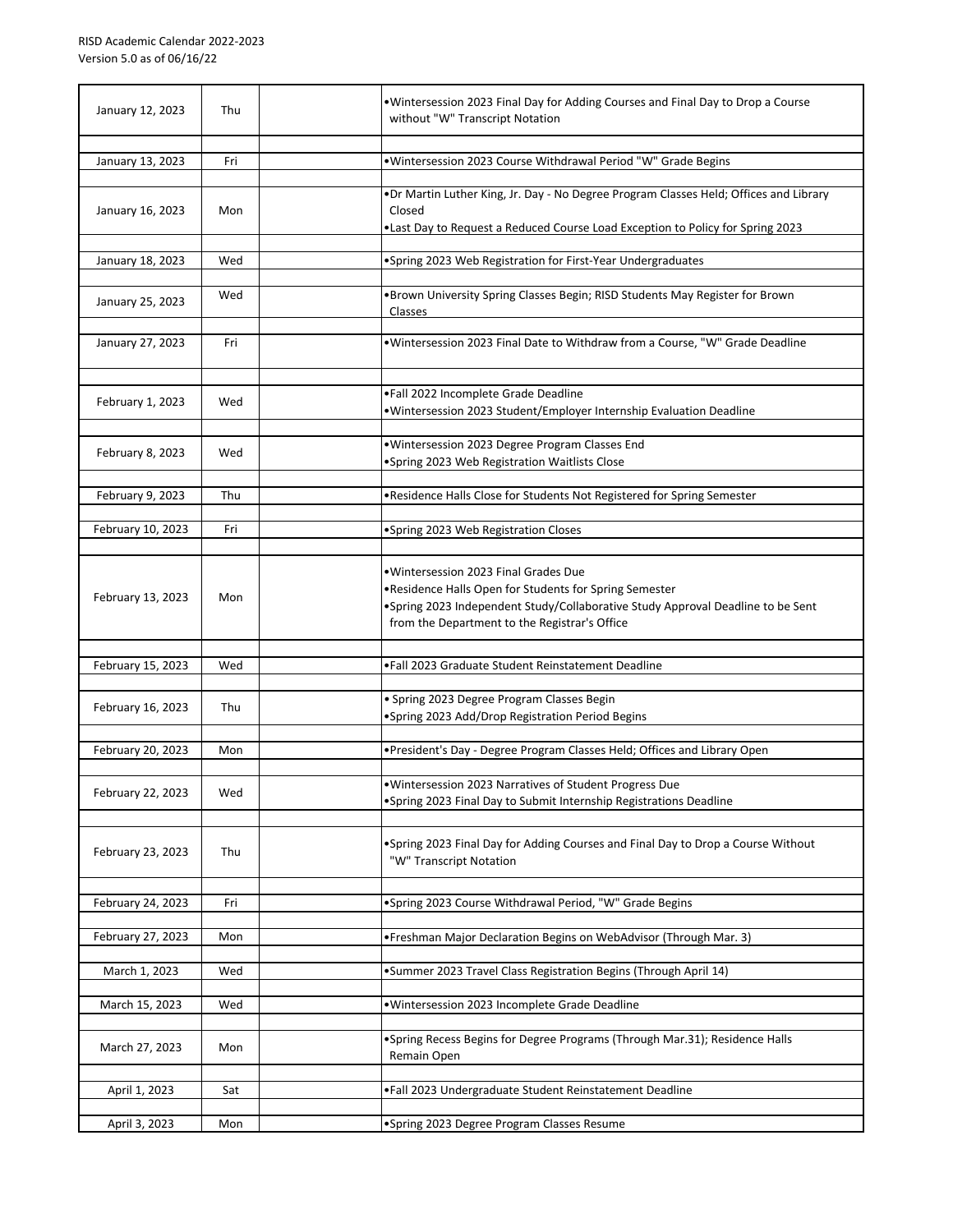| January 12, 2023  | Thu | . Wintersession 2023 Final Day for Adding Courses and Final Day to Drop a Course<br>without "W" Transcript Notation                                                                                                                  |
|-------------------|-----|--------------------------------------------------------------------------------------------------------------------------------------------------------------------------------------------------------------------------------------|
| January 13, 2023  | Fri | . Wintersession 2023 Course Withdrawal Period "W" Grade Begins                                                                                                                                                                       |
| January 16, 2023  | Mon | .Dr Martin Luther King, Jr. Day - No Degree Program Classes Held; Offices and Library<br>Closed<br>. Last Day to Request a Reduced Course Load Exception to Policy for Spring 2023                                                   |
| January 18, 2023  | Wed | •Spring 2023 Web Registration for First-Year Undergraduates                                                                                                                                                                          |
| January 25, 2023  | Wed | . Brown University Spring Classes Begin; RISD Students May Register for Brown<br>Classes                                                                                                                                             |
| January 27, 2023  | Fri | . Wintersession 2023 Final Date to Withdraw from a Course, "W" Grade Deadline                                                                                                                                                        |
| February 1, 2023  | Wed | .Fall 2022 Incomplete Grade Deadline<br>. Wintersession 2023 Student/Employer Internship Evaluation Deadline                                                                                                                         |
| February 8, 2023  | Wed | · Wintersession 2023 Degree Program Classes End<br>•Spring 2023 Web Registration Waitlists Close                                                                                                                                     |
| February 9, 2023  | Thu | . Residence Halls Close for Students Not Registered for Spring Semester                                                                                                                                                              |
| February 10, 2023 | Fri | •Spring 2023 Web Registration Closes                                                                                                                                                                                                 |
| February 13, 2023 | Mon | · Wintersession 2023 Final Grades Due<br>. Residence Halls Open for Students for Spring Semester<br>.Spring 2023 Independent Study/Collaborative Study Approval Deadline to be Sent<br>from the Department to the Registrar's Office |
| February 15, 2023 | Wed | •Fall 2023 Graduate Student Reinstatement Deadline                                                                                                                                                                                   |
| February 16, 2023 | Thu | · Spring 2023 Degree Program Classes Begin<br>•Spring 2023 Add/Drop Registration Period Begins                                                                                                                                       |
| February 20, 2023 | Mon | . President's Day - Degree Program Classes Held; Offices and Library Open                                                                                                                                                            |
| February 22, 2023 | Wed | . Wintersession 2023 Narratives of Student Progress Due<br>. Spring 2023 Final Day to Submit Internship Registrations Deadline                                                                                                       |
| February 23, 2023 | Thu | •Spring 2023 Final Day for Adding Courses and Final Day to Drop a Course Without<br>"W" Transcript Notation                                                                                                                          |
| February 24, 2023 | Fri | •Spring 2023 Course Withdrawal Period, "W" Grade Begins                                                                                                                                                                              |
| February 27, 2023 | Mon | • Freshman Major Declaration Begins on WebAdvisor (Through Mar. 3)                                                                                                                                                                   |
| March 1, 2023     | Wed | •Summer 2023 Travel Class Registration Begins (Through April 14)                                                                                                                                                                     |
| March 15, 2023    | Wed | · Wintersession 2023 Incomplete Grade Deadline                                                                                                                                                                                       |
| March 27, 2023    | Mon | •Spring Recess Begins for Degree Programs (Through Mar.31); Residence Halls<br>Remain Open                                                                                                                                           |
| April 1, 2023     | Sat | .Fall 2023 Undergraduate Student Reinstatement Deadline                                                                                                                                                                              |
| April 3, 2023     | Mon | •Spring 2023 Degree Program Classes Resume                                                                                                                                                                                           |